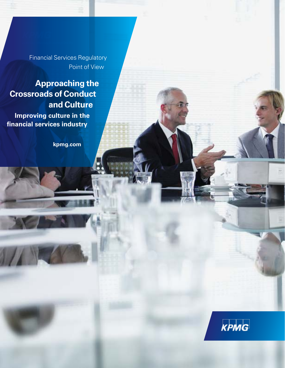Financial Services Regulatory Point of View

# **Approaching the Crossroads of Conduct and Culture**

**Improving culture in the financial services industry**

**kpmg.com**

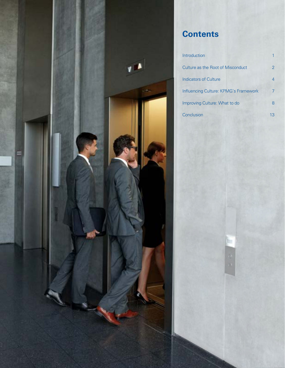

# **Contents**

| Introduction                          |    |
|---------------------------------------|----|
| Culture as the Root of Misconduct     | 2  |
| <b>Indicators of Culture</b>          | 4  |
| Influencing Culture: KPMG's Framework | 7  |
| Improving Culture: What to do         | 8  |
| Conclusion                            | 13 |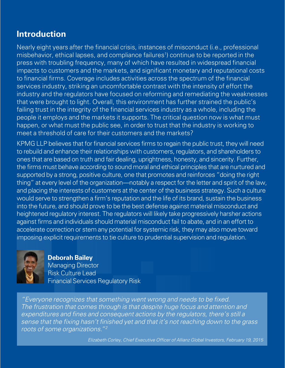# **Introduction**

Nearly eight years after the financial crisis, instances of misconduct (i.e., professional misbehavior, ethical lapses, and compliance failures<sup>1</sup>) continue to be reported in the press with troubling frequency, many of which have resulted in widespread financial impacts to customers and the markets, and significant monetary and reputational costs to financial firms. Coverage includes activities across the spectrum of the financial services industry, striking an uncomfortable contrast with the intensity of effort the industry and the regulators have focused on reforming and remediating the weaknesses that were brought to light. Overall, this environment has further strained the public's failing trust in the integrity of the financial services industry as a whole, including the people it employs and the markets it supports. The critical question now is what must happen, or what must the public see, in order to trust that the industry is working to meet a threshold of care for their customers and the markets?

KPMG LLP believes that for financial services firms to regain the public trust, they will need to rebuild and enhance their relationships with customers, regulators, and shareholders to ones that are based on truth and fair dealing, uprightness, honesty, and sincerity. Further, the firms must behave according to sound moral and ethical principles that are nurtured and supported by a strong, positive culture, one that promotes and reinforces "doing the right thing" at every level of the organization—notably a respect for the letter and spirit of the law, and placing the interests of customers at the center of the business strategy. Such a culture would serve to strengthen a firm's reputation and the life of its brand, sustain the business into the future, and should prove to be the best defense against material misconduct and heightened regulatory interest. The regulators will likely take progressively harsher actions against firms and individuals should material misconduct fail to abate, and in an effort to accelerate correction or stem any potential for systemic risk, they may also move toward imposing explicit requirements to tie culture to prudential supervision and regulation.



**Deborah Bailey** Managing Director

Risk Culture Lead Financial Services Regulatory Risk

"Everyone recognizes that something went wrong and needs to be fixed. The frustration that comes through is that despite huge focus and attention and expenditures and fines and consequent actions by the regulators, there's still a sense that the fixing hasn't finished yet and that it's not reaching down to the grass roots of some organizations."2

Elizabeth Corley, Chief Executive Officer of Allianz Global Investors, February 19, 2015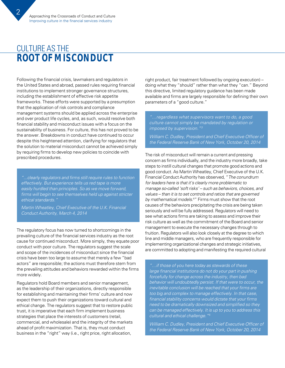# CUI TURF AS THE **ROOT OF MISCONDUCT**

Following the financial crisis, lawmakers and regulators in the United States and abroad, passed rules requiring financial institutions to implement stronger governance structures, including the establishment of effective risk appetite frameworks. These efforts were supported by a presumption that the application of risk controls and compliance management systems should be applied across the enterprise and over product life cycles, and, as such, would resolve both financial stability and misconduct issues with a focus on the sustainability of business. For culture, this has not proved to be the answer. Breakdowns in conduct have continued to occur despite this heightened attention, clarifying for regulators that the solution to material misconduct cannot be achieved simply by requiring firms to develop new policies to coincide with prescribed procedures.

"...clearly regulators and firms still require rules to function effectively. But experience tells us red tape is more easily hurdled than principles. So as we move forward, firms will begin to see themselves held up against stricter ethical standards."

Martin Wheatley, Chief Executive of the U.K. Financial Conduct Authority, March 4, 2014

The regulatory focus has now turned to shortcomings in the prevailing culture of the financial services industry as the root cause for continued misconduct. More simply, they equate poor conduct with poor culture. The regulators suggest the scale and scope of the incidences of misconduct since the financial crisis have been too large to assume that merely a few "bad actors" are responsible; the actions must therefore stem from the prevailing attitudes and behaviors rewarded within the firms more widely.

Regulators hold Board members and senior management, as the leadership of their organizations, directly responsible for establishing and maintaining their firms' culture and now expect them to push their organizations toward cultural and ethical change. The regulators suggest that to restore public trust, it is imperative that each firm implement business strategies that place the interests of customers (retail, commercial, and wholesale) and the integrity of the markets ahead of profit maximization. That is, they must conduct business in the "right" way (i.e., right price, right allocation,

right product, fair treatment followed by ongoing execution) – doing what they "should" rather than what they "can." Beyond this directive, limited regulatory guidance has been made available and firms are largely responsible for defining their own parameters of a "good culture."

"…regardless what supervisors want to do, a good culture cannot simply be mandated by regulation or imposed by supervision."3

William C. Dudley, President and Chief Executive Officer of the Federal Reserve Bank of New York, October 20, 2014

The risk of misconduct will remain a current and pressing concern as firms individually, and the industry more broadly, take steps to instill cultural changes that promote good actions and good conduct. As Martin Wheatley, Chief Executive of the U.K. Financial Conduct Authority has observed, "The conundrum for leaders here is that it's clearly more problematic to manage so-called 'soft risks' – such as behaviors, choices, and values – than it is to set controls and ratios that are governed by mathematical models.<sup>4"</sup> Firms must show that the root causes of the behaviors precipitating the crisis are being taken seriously and will be fully addressed. Regulators will need to see what actions firms are taking to assess and improve their risk culture as well as the commitment of the Board and senior management to execute the necessary changes through to fruition. Regulators will also look closely at the degree to which line and middle managers, who are frequently responsible for implementing organizational changes and strategic initiatives, are committed to adopting and manifesting the required cultural

"…if those of you here today as stewards of these large financial institutions do not do your part in pushing forcefully for change across the industry, then bad behavior will undoubtedly persist. If that were to occur, the inevitable conclusion will be reached that your firms are too big and complex to manage effectively. In that case, financial stability concerns would dictate that your firms need to be dramatically downsized and simplified so they can be managed effectively. It is up to you to address this cultural and ethical challenge."5

William C. Dudley, President and Chief Executive Officer of the Federal Reserve Bank of New York, October 20, 2014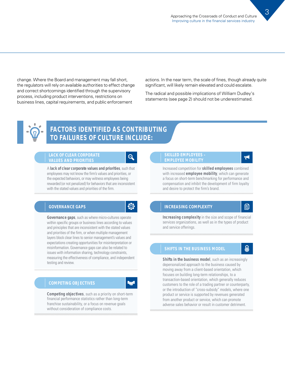change. Where the Board and management may fall short, the regulators will rely on available authorities to effect change and correct shortcomings identified through the supervisory process, including product interventions, restrictions on business lines, capital requirements, and public enforcement

actions. In the near term, the scale of fines, though already quite significant, will likely remain elevated and could escalate.

The radical and possible implications of William Dudley's statements (see page 2) should not be underestimated.



## **FACTORS IDENTIFIED AS CONTRIBUTING TO FAILURES OF CULTURE INCLUDE:**

#### **LACK OF CLEAR CORPORATE VALUES AND PRIORITIES**

A **lack of clear corporate values and priorities**, such that employees may not know the firm's values and priorities, or the expected behaviors, or may witness employees being rewarded (or not penalized) for behaviors that are inconsistent with the stated values and priorities of the firm.

## **GOVERNANCE GAPS**

 $\circledcirc$ 

 $\boldsymbol{\Theta}$ 

**Governance gaps**, such as where micro-cultures operate within specific groups or business lines according to values and principles that are inconsistent with the stated values and priorities of the firm, or when multiple management layers block clear lines to senior management's values and expectations creating opportunities for misinterpretation or misinformation. Governance gaps can also be related to issues with information sharing, technology constraints, measuring the effectiveness of compliance, and independent testing and review.

### **COMPETING OBJECTIVES**

 **Competing objectives**, such as a priority on short-term financial performance statistics rather than long-term franchise sustainability, or a focus on revenue goals without consideration of compliance costs.

#### **SKILLED EMPLOYEES – EMPLOYEE MOBILITY**

Increased competition for **skilled employees** combined with increased **employee mobility**, which can generate a focus on short-term benchmarking for performance and compensation and inhibit the development of firm loyalty and desire to protect the firm's brand.

### **INCREASING COMPLEXITY**

**Increasing complexity** in the size and scope of financial services organizations, as well as in the types of product and service offerings.

### **SHIFTS IN THE BUSINESS MODEL**

ร

**Shifts in the business model**, such as an increasingly depersonalized approach to the business caused by moving away from a client-based orientation, which focuses on building long-term relationships, to a transaction-based orientation, which generally reduces customers to the role of a trading partner or counterparty, or the introduction of "cross-subsidy" models, where one product or service is supported by revenues generated from another product or service, which can promote adverse sales behavior or result in customer detriment.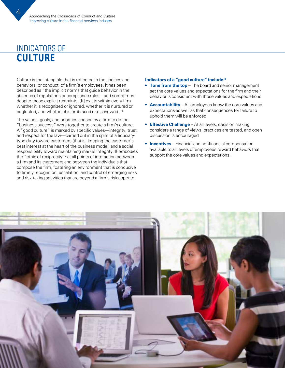# Indicators of **CULTUrE**

Culture is the intangible that is reflected in the choices and behaviors, or conduct, of a firm's employees. It has been described as "the implicit norms that guide behavior in the absence of regulations or compliance rules—and sometimes despite those explicit restraints. [It] exists within every firm whether it is recognized or ignored, whether it is nurtured or neglected, and whether it is embraced or disavowed."6

The values, goals, and priorities chosen by a firm to define "business success" work together to create a firm's culture. A "good culture" is marked by specific values—integrity, trust, and respect for the law—carried out in the spirit of a fiduciarytype duty toward customers (that is, keeping the customer's best interest at the heart of the business model) and a social responsibility toward maintaining market integrity. It embodies the "ethic of reciprocity"7 at all points of interaction between a firm and its customers and between the individuals that compose the firm, fostering an environment that is conducive to timely recognition, escalation, and control of emerging risks and risk-taking activities that are beyond a firm's risk appetite.

#### **Indicators of a "good culture" include:8**

- **• Tone from the top** The board and senior management set the core values and expectations for the firm and their behavior is consistent with those values and expectations
- **Accountability** All employees know the core values and expectations as well as that consequences for failure to uphold them will be enforced
- **• Effective Challenge** At all levels, decision making considers a range of views, practices are tested, and open discussion is encouraged
- **• Incentives** Financial and nonfinancial compensation available to all levels of employees reward behaviors that support the core values and expectations.

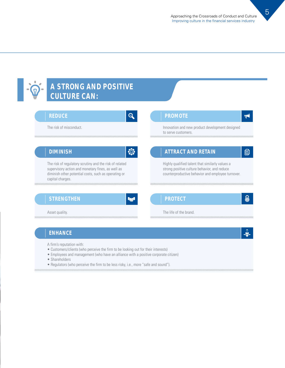### **CULTURE CAN:**  $Q$ **REDUCE PROMOTE**  $\blacktriangledown$ The risk of misconduct. Innovation and new product development designed to serve customers.  $\circledcirc$ **ATTRACT AND RETAIN** 图 **DIMINISH** The risk of regulatory scrutiny and the risk of related Highly qualified talent that similarly values a supervisory action and monetary fines, as well as strong positive culture behavior, and reduce diminish other potential costs, such as operating or counterproductive behavior and employee turnover. capital charges. 6 **PROTECTSTRENGTHEN IGN** The life of the brand. Asset quality.

## **ENHANCE**

- A firm's reputation with:
- Customers/clients (who perceive the firm to be looking out for their interests)

**A STRONG AND POSITIVE** 

- Employees and management (who have an alliance with a positive corporate citizen)
- Shareholders

*mmmmmn* 

• Regulators (who perceive the firm to be less risky, i.e., more "safe and sound").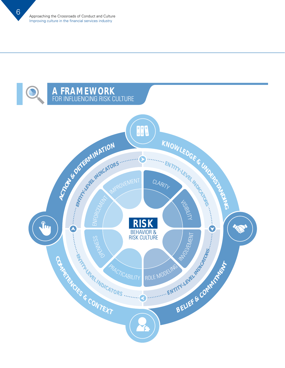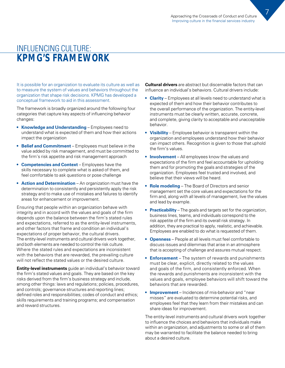# INFLUENCING CULTURE: **KPMG'S FrAmEWOrk**

It is possible for an organization to evaluate its culture as well as to measure the system of values and behaviors throughout the organization that shape risk decisions. KPMG has developed a conceptual framework to aid in this assessment.

The framework is broadly organized around the following four categories that capture key aspects of influencing behavior changes:

- **• Knowledge and Understanding** Employees need to understand what is expected of them and how their actions impact the organization
- **• Belief and Commitment** Employees must believe in the value added by risk management, and must be committed to the firm's risk appetite and risk management approach
- **• Competencies and Context** Employees have the skills necessary to complete what is asked of them, and feel comfortable to ask questions or pose challenge
- **Action and Determination** An organization must have the determination to consistently and persistently apply the risk strategy and to make use of mistakes and failures to identify areas for enhancement or improvement.

Ensuring that people within an organization behave with integrity and in accord with the values and goals of the firm depends upon the balance between the firm's stated rules and expectations, referred to as the entity-level instruments, and other factors that frame and condition an individual's expectations of proper behavior, the cultural drivers. The entity-level instruments and cultural drivers work together, and both elements are needed to control the risk culture. Where the stated rules and expectations are inconsistent with the behaviors that are rewarded, the prevailing culture will not reflect the stated values or the desired culture.

**Entity-level instruments** guide an individual's behavior toward the firm's stated values and goals. They are based on the key risks derived from the firm's business strategy and include, among other things: laws and regulations; policies, procedures, and controls; governance structures and reporting lines; defined roles and responsibilities; codes of conduct and ethics; skills requirements and training programs; and compensation and reward structures.

**Cultural drivers** are abstract but discernable factors that can influence an individual's behaviors. Cultural drivers include:

- **Clarity** Employees at all levels need to understand what is expected of them and how their behavior contributes to the overall performance of the organization. The entity-level instruments must be clearly written, accurate, concrete, and complete, giving clarity to acceptable and unacceptable behavior.
- **• Visibility** Employee behavior is transparent within the organization and employees understand how their behavior can impact others. Recognition is given to those that uphold the firm's values.
- **Involvement** All employees know the values and expectations of the firm and feel accountable for upholding them and for promoting the goals and strategies of the organization. Employees feel trusted and involved, and believe that their views will be heard.
- **• Role modeling** The Board of Directors and senior management set the core values and expectations for the firm and, along with all levels of management, live the values and lead by example.
- **Practicability** The goals and targets set for the organization, business lines, teams, and individuals correspond to the risk appetite of the firm and its overall risk strategy. In addition, they are practical to apply, realistic, and achievable. Employees are enabled to do what is requested of them.
- **• Openness** People at all levels must feel comfortable to discuss issues and dilemmas that arise in an atmosphere that is accepting of challenge and assures mutual respect.
- **• Enforcement** The system of rewards and punishments must be clear, explicit, directly related to the values and goals of the firm, and consistently enforced. When the rewards and punishments are inconsistent with the values and goals, employee behaviors will shift toward the behaviors that are rewarded.
- **Improvement** Incidences of mis-behavior and "near misses" are evaluated to determine potential risks, and employees feel that they learn from their mistakes and can share ideas for improvement.

The entity-level instruments and cultural drivers work together to influence the choices and behaviors that individuals make within an organization, and adjustments to some or all of them may be warranted to facilitate the balance needed to bring about a desired culture.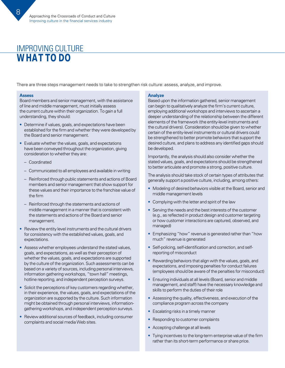# IMPROVING CUI TURF **WHAT TO DO**

There are three steps management needs to take to strengthen risk culture: assess, analyze, and improve.

#### **Assess**

Board members and senior management, with the assistance of line and middle management, must initially assess the current culture within their organization. To gain a full understanding, they should:

- Determine if values, goals, and expectations have been established for the firm and whether they were developed by the Board and senior management.
- Evaluate whether the values, goals, and expectations have been conveyed throughout the organization, giving consideration to whether they are:
	- Coordinated
	- Communicated to all employees and available in writing
	- Reinforced through public statements and actions of Board members and senior management that show support for these values and their importance to the franchise value of the firm
	- Reinforced through the statements and actions of middle management in a manner that is consistent with the statements and actions of the Board and senior management.
- Review the entity level instruments and the cultural drivers for consistency with the established values, goals, and expectations.
- Assess whether employees understand the stated values, goals, and expectations, as well as their perception of whether the values, goals, and expectations are supported by the culture of the organization. Such assessments can be based on a variety of sources, including personal interviews, information gathering workshops, "town hall" meetings, hotline reporting, and independent perception surveys.
- Solicit the perceptions of key customers regarding whether, in their experience, the values, goals, and expectations of the organization are supported by the culture. Such information might be obtained through personal interviews, informationgathering workshops, and independent perception surveys.
- Review additional sources of feedback, including consumer complaints and social media Web sites.

#### **Analyze**

Based upon the information gathered, senior management can begin to qualitatively analyze the firm's current culture, employing additional workshops and interviews to ascertain a deeper understanding of the relationship between the different elements of the framework (the entity-level instruments and the cultural drivers). Consideration should be given to whether certain of the entity-level instruments or cultural drivers could be strengthened to better promote behaviors that support the desired culture, and plans to address any identified gaps should be developed.

Importantly, the analysis should also consider whether the stated values, goals, and expectations should be strengthened to better articulate and promote a strong, positive culture.

The analysis should take stock of certain types of attributes that generally support a positive culture, including, among others:

- Modeling of desired behaviors visible at the Board, senior and middle management levels
- Complying with the letter and spirit of the law
- Serving the needs and the best interests of the customer (e.g., as reflected in product design and customer targeting or how customer interactions are captured, observed, and managed)
- Emphasizing "how" revenue is generated rather than "how much" revenue is generated
- Self-policing, self-identification and correction, and selfreporting of misconduct
- Rewarding behaviors that align with the values, goals, and expectations, and imposing penalties for conduct failures (employees should be aware of the penalties for misconduct)
- Ensuring individuals at all levels (Board, senior and middle management, and staff) have the necessary knowledge and skills to perform the duties of their role
- Assessing the quality, effectiveness, and execution of the compliance program across the company
- Escalating risks in a timely manner
- Responding to customer complaints
- Accepting challenge at all levels
- Tying incentives to the long-term enterprise value of the firm rather than its short-term performance or share price.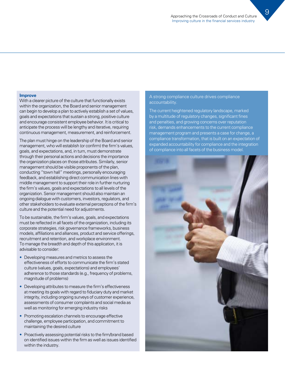### **Improve**

With a clearer picture of the culture that functionally exists within the organization, the Board and senior management can begin to develop a plan to actively establish a set of values, goals and expectations that sustain a strong, positive culture and encourage consistent employee behavior. It is critical to anticipate the process will be lengthy and iterative, requiring continuous management, measurement, and reinforcement.

The plan must hinge on the leadership of the Board and senior management, who will establish (or confirm) the firm's values, goals, and expectations, and, in turn, must demonstrate through their personal actions and decisions the importance the organization places on those attributes. Similarly, senior management should be visible proponents of the plan, conducting "town hall" meetings, personally encouraging feedback, and establishing direct communication lines with middle management to support their role in further nurturing the firm's values, goals and expectations to all levels of the organization. Senior management should also maintain an ongoing dialogue with customers, investors, regulators, and other stakeholders to evaluate external perceptions of the firm's culture and the potential need for adjustments.

To be sustainable, the firm's values, goals, and expectations must be reflected in all facets of the organization, including its corporate strategies, risk governance frameworks, business models, affiliations and alliances, product and service offerings, recruitment and retention, and workplace environment. To manage the breadth and depth of this application, it is advisable to consider:

- Developing measures and metrics to assess the effectiveness of efforts to communicate the firm's stated culture (values, goals, expectations) and employees' adherence to those standards (e.g., frequency of problems, magnitude of problems)
- Developing attributes to measure the firm's effectiveness at meeting its goals with regard to fiduciary duty and market integrity, including ongoing surveys of customer experience, assessments of consumer complaints and social media as well as monitoring for emerging industry risks
- Promoting escalation channels to encourage effective challenge, employee participation, and commitment to maintaining the desired culture
- Proactively assessing potential risks to the firm/brand based on identified issues within the firm as well as issues identified within the industry.

#### A strong compliance culture drives compliance accountability.

The current heightened regulatory landscape, marked by a multitude of regulatory changes, significant fines and penalties, and growing concerns over reputation risk, demands enhancements to the current compliance management program and presents a case for change, a compliance transformation, that is built on an expectation of expanded accountability for compliance and the integration of compliance into all facets of the business model.

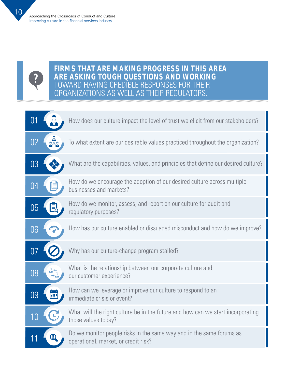

# **FIRMS THAT ARE MAKING PROGRESS IN THIS AREA ARE ASKING TOUGH QUESTIONS AND WORKING**  TOWARD HAVING CREDIBLE RESPONSES FOR THEIR GANIZATIONS AS WELL AS THEIR REGULATORS.

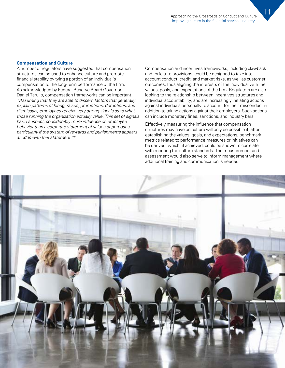11

### **Compensation and Culture**

A number of regulators have suggested that compensation structures can be used to enhance culture and promote financial stability by tying a portion of an individual's compensation to the long-term performance of the firm. As acknowledged by Federal Reserve Board Governor Daniel Tarullo, compensation frameworks can be important. "Assuming that they are able to discern factors that generally explain patterns of hiring, raises, promotions, demotions, and dismissals, employees receive very strong signals as to what those running the organization actually value. This set of signals has, I suspect, considerably more influence on employee behavior than a corporate statement of values or purposes, particularly if the system of rewards and punishments appears at odds with that statement."9

Compensation and incentives frameworks, including clawback and forfeiture provisions, could be designed to take into account conduct, credit, and market risks, as well as customer outcomes, thus aligning the interests of the individual with the values, goals, and expectations of the firm. Regulators are also looking to the relationship between incentives structures and individual accountability, and are increasingly initiating actions against individuals personally to account for their misconduct in addition to taking actions against their employers. Such actions can include monetary fines, sanctions, and industry bars.

Effectively measuring the influence that compensation structures may have on culture will only be possible if, after establishing the values, goals, and expectations, benchmark metrics related to performance measures or initiatives can be derived, which, if achieved, could be shown to correlate with meeting the culture standards. The measurement and assessment would also serve to inform management where additional training and communication is needed.

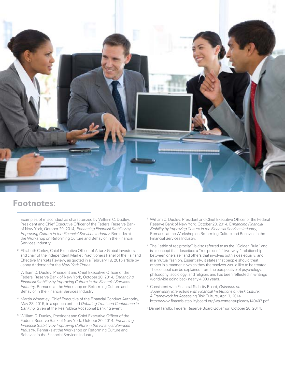

# **Footnotes:**

- Examples of misconduct as characterized by William C. Dudley, President and Chief Executive Officer of the Federal Reserve Bank of New York, October 20, 2014, Enhancing Financial Stability by Improving Culture in the Financial Services Industry. Remarks at the Workshop on Reforming Culture and Behavior in the Financial Services Industry.
- <sup>2</sup> Elizabeth Corley, Chief Executive Officer of Allianz Global Investors, and chair of the independent Market Practitioners Panel of the Fair and Effective Markets Review, as quoted in a February 19, 2015 article by Jenny Anderson for the New York Times.
- <sup>3</sup> William C. Dudley, President and Chief Executive Officer of the Federal Reserve Bank of New York, October 20, 2014, Enhancing Financial Stability by Improving Culture in the Financial Services Industry, Remarks at the Workshop on Reforming Culture and Behavior in the Financial Services Industry.
- 4 Martin Wheatley, Chief Executive of the Financial Conduct Authority, May 28, 2015, in a speech entitled Debating Trust and Confidence in Banking, given at the ResPublica Vocational Banking event.
- 5 William C. Dudley, President and Chief Executive Officer of the Federal Reserve Bank of New York, October 20, 2014, Enhancing Financial Stability by Improving Culture in the Financial Services Industry, Remarks at the Workshop on Reforming Culture and Behavior in the Financial Services Industry.
- <sup>6</sup> William C. Dudley, President and Chief Executive Officer of the Federal Reserve Bank of New York, October 20, 2014, Enhancing Financial Stability by Improving Culture in the Financial Services Industry, Remarks at the Workshop on Reforming Culture and Behavior in the Financial Services Industry.
- <sup>7</sup> The "ethic of reciprocity" is also referred to as the "Golden Rule" and is a concept that describes a "reciprocal," "two-way," relationship between one's self and others that involves both sides [equally,](https://en.wikipedia.org/wiki/Egalitarianism) and in a mutual fashion. Essentially, it states that people should treat others in a manner in which they themselves would like to be treated. The concept can be explained from the perspective of psychology, philosophy, sociology, and religion, and has been reflected in writings worldwide going back nearly 4,000 years.
- <sup>8</sup> Consistent with Financial Stability Board, Guidance on Supervisory Interaction with Financial Institutions on Risk Culture: A Framework for Assessing Risk Culture, April 7, 2014. <http://www.financialstabilityboard.org/wp-content/uploads/140407.pdf>
- 9 Daniel Tarullo, Federal Reserve Board Governor, October 20, 2014.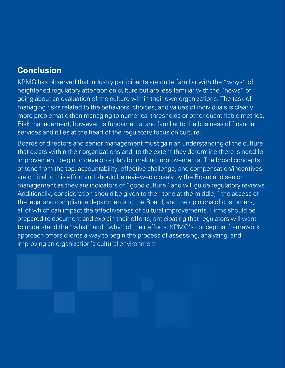# **Conclusion**

KPMG has observed that industry participants are quite familiar with the "whys" of heightened regulatory attention on culture but are less familiar with the "hows" of going about an evaluation of the culture within their own organizations. The task of managing risks related to the behaviors, choices, and values of individuals is clearly more problematic than managing to numerical thresholds or other quantifiable metrics. Risk management, however, is fundamental and familiar to the business of financial services and it lies at the heart of the regulatory focus on culture.

Boards of directors and senior management must gain an understanding of the culture that exists within their organizations and, to the extent they determine there is need for improvement, begin to develop a plan for making improvements. The broad concepts of tone from the top, accountability, effective challenge, and compensation/incentives are critical to this effort and should be reviewed closely by the Board and senior management as they are indicators of "good culture" and will guide regulatory reviews. Additionally, consideration should be given to the "tone at the middle," the access of the legal and compliance departments to the Board, and the opinions of customers, all of which can impact the effectiveness of cultural improvements. Firms should be prepared to document and explain their efforts, anticipating that regulators will want to understand the "what" and "why" of their efforts. KPMG's conceptual framework approach offers clients a way to begin the process of assessing, analyzing, and improving an organization's cultural environment.